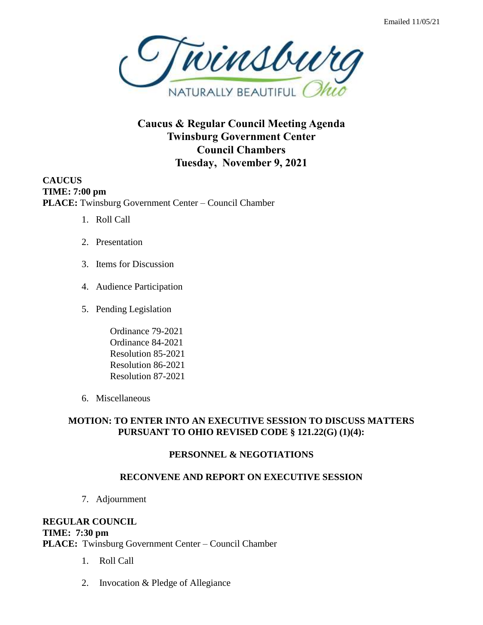

**Caucus & Regular Council Meeting Agenda Twinsburg Government Center Council Chambers Tuesday, November 9, 2021**

**CAUCUS TIME: 7:00 pm PLACE:** Twinsburg Government Center – Council Chamber

- 1. Roll Call
- 2. Presentation
- 3. Items for Discussion
- 4. Audience Participation
- 5. Pending Legislation
	- Ordinance 79-2021 Ordinance 84-2021 Resolution 85-2021 Resolution 86-2021 Resolution 87-2021
- 6. Miscellaneous

## **MOTION: TO ENTER INTO AN EXECUTIVE SESSION TO DISCUSS MATTERS PURSUANT TO OHIO REVISED CODE § 121.22(G) (1)(4):**

#### **PERSONNEL & NEGOTIATIONS**

#### **RECONVENE AND REPORT ON EXECUTIVE SESSION**

7. Adjournment

# **REGULAR COUNCIL**

## **TIME: 7:30 pm**

**PLACE:** Twinsburg Government Center – Council Chamber

- 1. Roll Call
- 2. Invocation & Pledge of Allegiance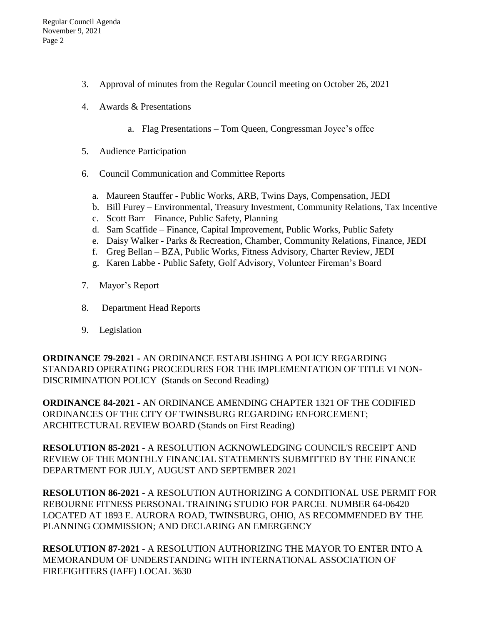- 3. Approval of minutes from the Regular Council meeting on October 26, 2021
- 4. Awards & Presentations
	- a. Flag Presentations Tom Queen, Congressman Joyce's offce
- 5. Audience Participation
- 6. Council Communication and Committee Reports
	- a. Maureen Stauffer Public Works, ARB, Twins Days, Compensation, JEDI
	- b. Bill Furey Environmental, Treasury Investment, Community Relations, Tax Incentive
	- c. Scott Barr Finance, Public Safety, Planning
	- d. Sam Scaffide Finance, Capital Improvement, Public Works, Public Safety
	- e. Daisy Walker Parks & Recreation, Chamber, Community Relations, Finance, JEDI
	- f. Greg Bellan BZA, Public Works, Fitness Advisory, Charter Review, JEDI
	- g. Karen Labbe Public Safety, Golf Advisory, Volunteer Fireman's Board
- 7. Mayor's Report
- 8. Department Head Reports
- 9. Legislation

**ORDINANCE 79-2021 -** AN ORDINANCE ESTABLISHING A POLICY REGARDING STANDARD OPERATING PROCEDURES FOR THE IMPLEMENTATION OF TITLE VI NON-DISCRIMINATION POLICY (Stands on Second Reading)

**ORDINANCE 84-2021 -** AN ORDINANCE AMENDING CHAPTER 1321 OF THE CODIFIED ORDINANCES OF THE CITY OF TWINSBURG REGARDING ENFORCEMENT; ARCHITECTURAL REVIEW BOARD (Stands on First Reading)

**RESOLUTION 85-2021 -** A RESOLUTION ACKNOWLEDGING COUNCIL'S RECEIPT AND REVIEW OF THE MONTHLY FINANCIAL STATEMENTS SUBMITTED BY THE FINANCE DEPARTMENT FOR JULY, AUGUST AND SEPTEMBER 2021

**RESOLUTION 86-2021 -** A RESOLUTION AUTHORIZING A CONDITIONAL USE PERMIT FOR REBOURNE FITNESS PERSONAL TRAINING STUDIO FOR PARCEL NUMBER 64-06420 LOCATED AT 1893 E. AURORA ROAD, TWINSBURG, OHIO, AS RECOMMENDED BY THE PLANNING COMMISSION; AND DECLARING AN EMERGENCY

**RESOLUTION 87-2021 -** A RESOLUTION AUTHORIZING THE MAYOR TO ENTER INTO A MEMORANDUM OF UNDERSTANDING WITH INTERNATIONAL ASSOCIATION OF FIREFIGHTERS (IAFF) LOCAL 3630